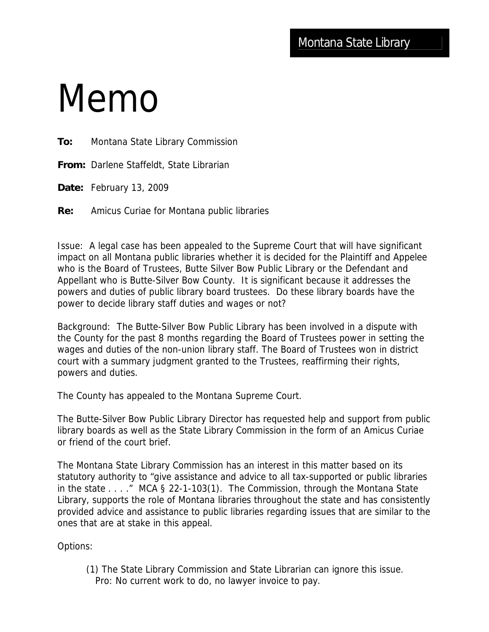## Memo

**To:** Montana State Library Commission

**From:** Darlene Staffeldt, State Librarian

**Date:** February 13, 2009

**Re:** Amicus Curiae for Montana public libraries

Issue: A legal case has been appealed to the Supreme Court that will have significant impact on all Montana public libraries whether it is decided for the Plaintiff and Appelee who is the Board of Trustees, Butte Silver Bow Public Library or the Defendant and Appellant who is Butte-Silver Bow County. It is significant because it addresses the powers and duties of public library board trustees. Do these library boards have the power to decide library staff duties and wages or not?

Background: The Butte-Silver Bow Public Library has been involved in a dispute with the County for the past 8 months regarding the Board of Trustees power in setting the wages and duties of the non-union library staff. The Board of Trustees won in district court with a summary judgment granted to the Trustees, reaffirming their rights, powers and duties.

The County has appealed to the Montana Supreme Court.

The Butte-Silver Bow Public Library Director has requested help and support from public library boards as well as the State Library Commission in the form of an Amicus Curiae or friend of the court brief.

The Montana State Library Commission has an interest in this matter based on its statutory authority to "give assistance and advice to all tax-supported or public libraries in the state . . . ." MCA § 22-1-103(1). The Commission, through the Montana State Library, supports the role of Montana libraries throughout the state and has consistently provided advice and assistance to public libraries regarding issues that are similar to the ones that are at stake in this appeal.

Options:

 (1) The State Library Commission and State Librarian can ignore this issue. Pro: No current work to do, no lawyer invoice to pay.